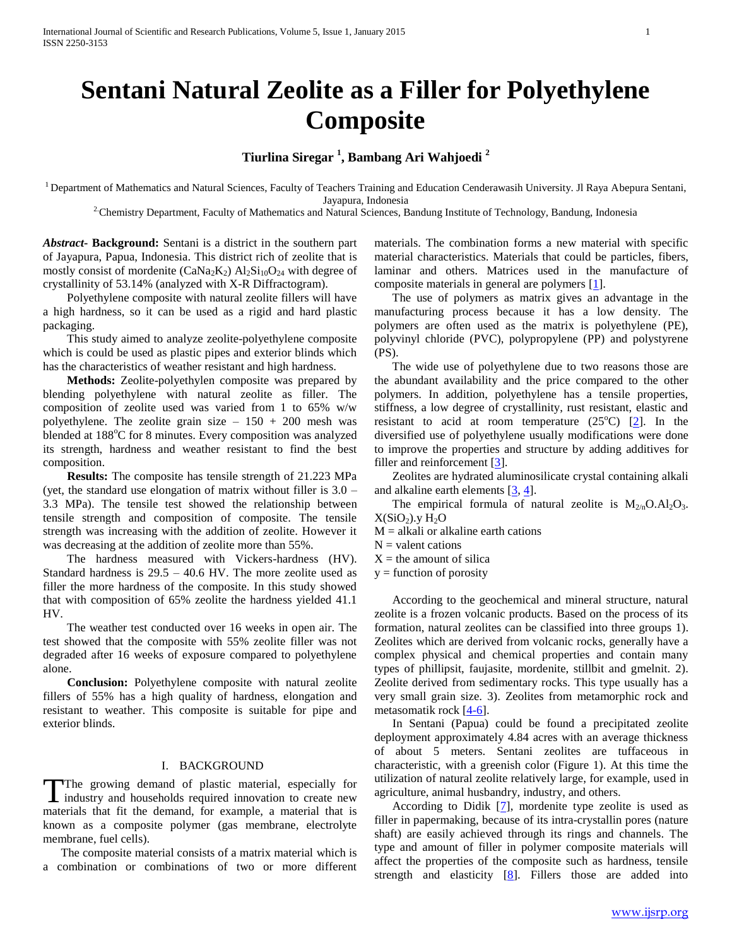# **Sentani Natural Zeolite as a Filler for Polyethylene Composite**

## **Tiurlina Siregar <sup>1</sup> , Bambang Ari Wahjoedi <sup>2</sup>**

<sup>1</sup> Department of Mathematics and Natural Sciences, Faculty of Teachers Training and Education Cenderawasih University. Jl Raya Abepura Sentani, Jayapura, Indonesia

<sup>2</sup>Chemistry Department, Faculty of Mathematics and Natural Sciences, Bandung Institute of Technology, Bandung, Indonesia

*Abstract***- Background:** Sentani is a district in the southern part of Jayapura, Papua, Indonesia. This district rich of zeolite that is mostly consist of mordenite ( $\text{CaNa}_2\text{K}_2$ )  $\text{Al}_2\text{Si}_{10}\text{O}_{24}$  with degree of crystallinity of 53.14% (analyzed with X-R Diffractogram).

 Polyethylene composite with natural zeolite fillers will have a high hardness, so it can be used as a rigid and hard plastic packaging.

 This study aimed to analyze zeolite-polyethylene composite which is could be used as plastic pipes and exterior blinds which has the characteristics of weather resistant and high hardness.

 **Methods:** Zeolite-polyethylen composite was prepared by blending polyethylene with natural zeolite as filler. The composition of zeolite used was varied from 1 to 65% w/w polyethylene. The zeolite grain size  $-150 + 200$  mesh was blended at 188<sup>o</sup>C for 8 minutes. Every composition was analyzed its strength, hardness and weather resistant to find the best composition.

 **Results:** The composite has tensile strength of 21.223 MPa (yet, the standard use elongation of matrix without filler is 3.0 – 3.3 MPa). The tensile test showed the relationship between tensile strength and composition of composite. The tensile strength was increasing with the addition of zeolite. However it was decreasing at the addition of zeolite more than 55%.

 The hardness measured with Vickers-hardness (HV). Standard hardness is  $29.5 - 40.6$  HV. The more zeolite used as filler the more hardness of the composite. In this study showed that with composition of 65% zeolite the hardness yielded 41.1 HV.

 The weather test conducted over 16 weeks in open air. The test showed that the composite with 55% zeolite filler was not degraded after 16 weeks of exposure compared to polyethylene alone.

 **Conclusion:** Polyethylene composite with natural zeolite fillers of 55% has a high quality of hardness, elongation and resistant to weather. This composite is suitable for pipe and exterior blinds.

#### I. BACKGROUND

The growing demand of plastic material, especially for The growing demand of plastic material, especially for industry and households required innovation to create new materials that fit the demand, for example, a material that is known as a composite polymer (gas membrane, electrolyte membrane, fuel cells).

 The composite material consists of a matrix material which is a combination or combinations of two or more different

materials. The combination forms a new material with specific material characteristics. Materials that could be particles, fibers, laminar and others. Matrices used in the manufacture of composite materials in general are polymers [1].

 The use of polymers as matrix gives an advantage in the manufacturing process because it has a low density. The polymers are often used as the matrix is polyethylene (PE), polyvinyl chloride (PVC), polypropylene (PP) and polystyrene (PS).

 The wide use of polyethylene due to two reasons those are the abundant availability and the price compared to the other polymers. In addition, polyethylene has a tensile properties, stiffness, a low degree of crystallinity, rust resistant, elastic and resistant to acid at room temperature  $(25^{\circ}C)$  [2]. In the diversified use of polyethylene usually modifications were done to improve the properties and structure by adding additives for filler and reinforcement [3].

 Zeolites are hydrated aluminosilicate crystal containing alkali and alkaline earth elements  $[3, 4]$ .

The empirical formula of natural zeolite is  $M_{2/n}O \cdot Al_2O_3$ .  $X(SiO<sub>2</sub>)$ .y  $H<sub>2</sub>O$ 

 $M =$  alkali or alkaline earth cations

 $N =$  valent cations

 $X =$  the amount of silica

 $y =$  function of porosity

 According to the geochemical and mineral structure, natural zeolite is a frozen volcanic products. Based on the process of its formation, natural zeolites can be classified into three groups 1). Zeolites which are derived from volcanic rocks, generally have a complex physical and chemical properties and contain many types of phillipsit, faujasite, mordenite, stillbit and gmelnit. 2). Zeolite derived from sedimentary rocks. This type usually has a very small grain size. 3). Zeolites from metamorphic rock and metasomatik rock [4-6].

 In Sentani (Papua) could be found a precipitated zeolite deployment approximately 4.84 acres with an average thickness of about 5 meters. Sentani zeolites are tuffaceous in characteristic, with a greenish color (Figure 1). At this time the utilization of natural zeolite relatively large, for example, used in agriculture, animal husbandry, industry, and others.

According to Didik  $[7]$ , mordenite type zeolite is used as filler in papermaking, because of its intra-crystallin pores (nature shaft) are easily achieved through its rings and channels. The type and amount of filler in polymer composite materials will affect the properties of the composite such as hardness, tensile strength and elasticity  $[8]$ . Fillers those are added into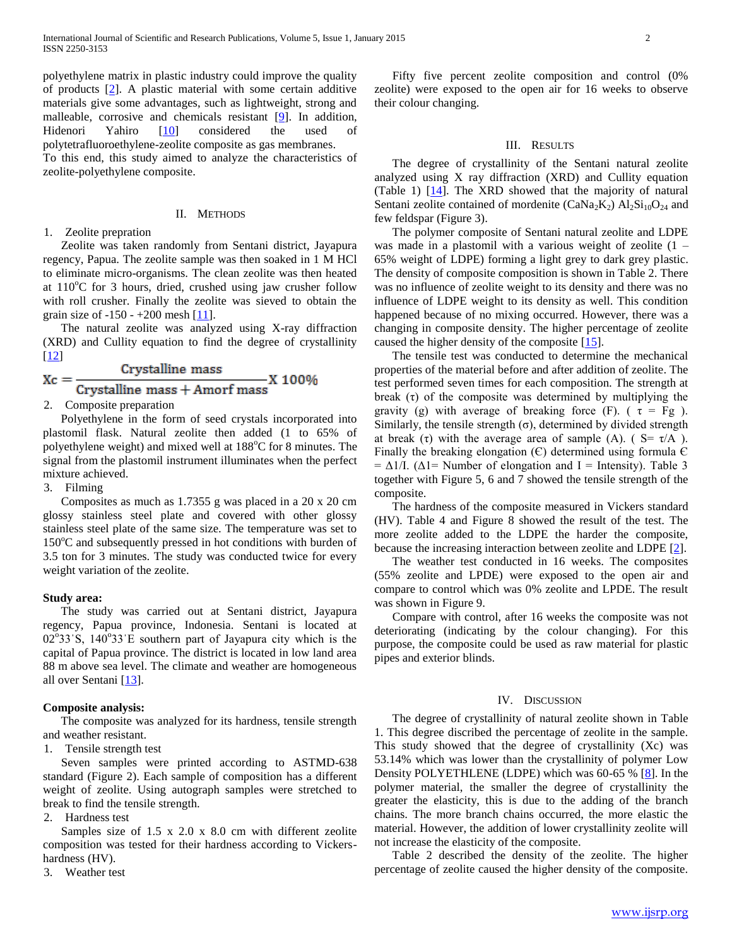polyethylene matrix in plastic industry could improve the quality of products [2]. A plastic material with some certain additive materials give some advantages, such as lightweight, strong and malleable, corrosive and chemicals resistant [9]. In addition, Hidenori Yahiro [10] considered the used of polytetrafluoroethylene-zeolite composite as gas membranes. To this end, this study aimed to analyze the characteristics of

zeolite-polyethylene composite.

#### II. METHODS

#### 1. Zeolite prepration

 Zeolite was taken randomly from Sentani district, Jayapura regency, Papua. The zeolite sample was then soaked in 1 M HCl to eliminate micro-organisms. The clean zeolite was then heated at  $110^{\circ}$ C for 3 hours, dried, crushed using jaw crusher follow with roll crusher. Finally the zeolite was sieved to obtain the grain size of -150 - +200 mesh [11].

 The natural zeolite was analyzed using X-ray diffraction (XRD) and Cullity equation to find the degree of crystallinity [12]

$$
Xc = \frac{Crystalline mass}{Crystalline mass + Amorf mass}X 100\%
$$

2. Composite preparation

 Polyethylene in the form of seed crystals incorporated into plastomil flask. Natural zeolite then added (1 to 65% of polyethylene weight) and mixed well at  $188^{\circ}$ C for 8 minutes. The signal from the plastomil instrument illuminates when the perfect mixture achieved.

3. Filming

 Composites as much as 1.7355 g was placed in a 20 x 20 cm glossy stainless steel plate and covered with other glossy stainless steel plate of the same size. The temperature was set to  $150^{\circ}$ C and subsequently pressed in hot conditions with burden of 3.5 ton for 3 minutes. The study was conducted twice for every weight variation of the zeolite.

#### **Study area:**

 The study was carried out at Sentani district, Jayapura regency, Papua province, Indonesia. Sentani is located at  $02^{\circ}33^{\circ}$ S, 140°33′E southern part of Jayapura city which is the capital of Papua province. The district is located in low land area 88 m above sea level. The climate and weather are homogeneous all over Sentani [13].

#### **Composite analysis:**

 The composite was analyzed for its hardness, tensile strength and weather resistant.

1. Tensile strength test

 Seven samples were printed according to ASTMD-638 standard (Figure 2). Each sample of composition has a different weight of zeolite. Using autograph samples were stretched to break to find the tensile strength.

2. Hardness test

 Samples size of 1.5 x 2.0 x 8.0 cm with different zeolite composition was tested for their hardness according to Vickershardness (HV).

3. Weather test

 Fifty five percent zeolite composition and control (0% zeolite) were exposed to the open air for 16 weeks to observe their colour changing.

#### III. RESULTS

 The degree of crystallinity of the Sentani natural zeolite analyzed using X ray diffraction (XRD) and Cullity equation (Table 1) [14]. The XRD showed that the majority of natural Sentani zeolite contained of mordenite (CaNa<sub>2</sub>K<sub>2</sub>)  $Al_2Si_{10}O_{24}$  and few feldspar (Figure 3).

 The polymer composite of Sentani natural zeolite and LDPE was made in a plastomil with a various weight of zeolite  $(1 -$ 65% weight of LDPE) forming a light grey to dark grey plastic. The density of composite composition is shown in Table 2. There was no influence of zeolite weight to its density and there was no influence of LDPE weight to its density as well. This condition happened because of no mixing occurred. However, there was a changing in composite density. The higher percentage of zeolite caused the higher density of the composite [15].

 The tensile test was conducted to determine the mechanical properties of the material before and after addition of zeolite. The test performed seven times for each composition. The strength at break  $(\tau)$  of the composite was determined by multiplying the gravity (g) with average of breaking force (F). ( $\tau = Fg$ ). Similarly, the tensile strength  $(\sigma)$ , determined by divided strength at break (τ) with the average area of sample (A). ( $S = \tau/A$ ). Finally the breaking elongation  $(C)$  determined using formula  $C$ =  $\Delta 1/I$ . ( $\Delta 1$  = Number of elongation and I = Intensity). Table 3 together with Figure 5, 6 and 7 showed the tensile strength of the composite.

 The hardness of the composite measured in Vickers standard (HV). Table 4 and Figure 8 showed the result of the test. The more zeolite added to the LDPE the harder the composite, because the increasing interaction between zeolite and LDPE [2].

 The weather test conducted in 16 weeks. The composites (55% zeolite and LPDE) were exposed to the open air and compare to control which was 0% zeolite and LPDE. The result was shown in Figure 9.

 Compare with control, after 16 weeks the composite was not deteriorating (indicating by the colour changing). For this purpose, the composite could be used as raw material for plastic pipes and exterior blinds.

#### IV. DISCUSSION

 The degree of crystallinity of natural zeolite shown in Table 1. This degree discribed the percentage of zeolite in the sample. This study showed that the degree of crystallinity (Xc) was 53.14% which was lower than the crystallinity of polymer Low Density POLYETHLENE (LDPE) which was 60-65 % [8]. In the polymer material, the smaller the degree of crystallinity the greater the elasticity, this is due to the adding of the branch chains. The more branch chains occurred, the more elastic the material. However, the addition of lower crystallinity zeolite will not increase the elasticity of the composite.

 Table 2 described the density of the zeolite. The higher percentage of zeolite caused the higher density of the composite.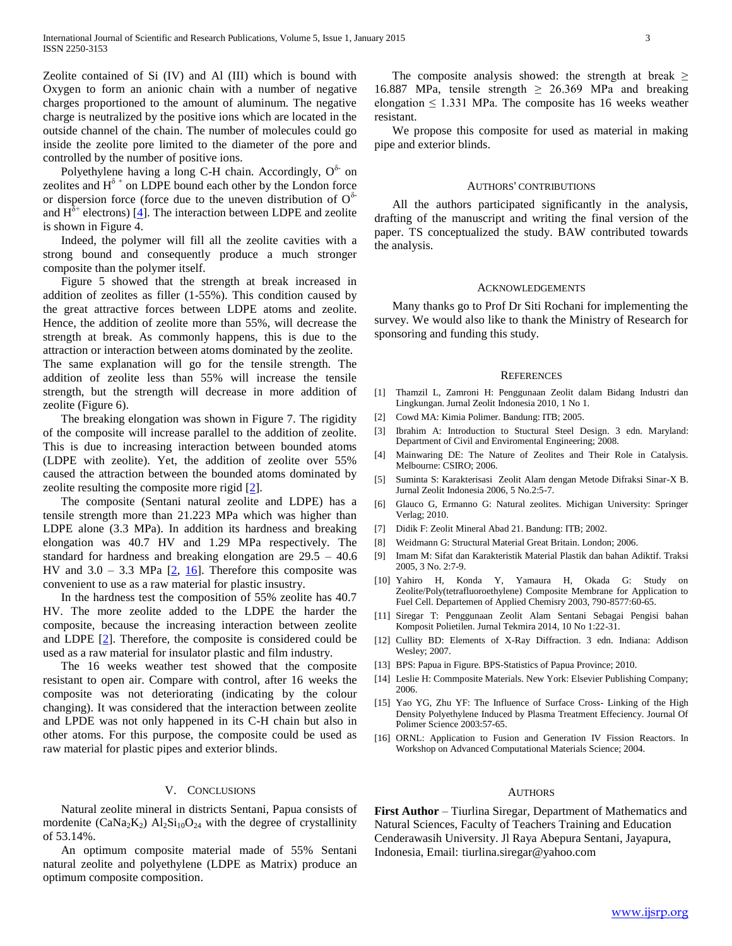Zeolite contained of Si (IV) and Al (III) which is bound with Oxygen to form an anionic chain with a number of negative charges proportioned to the amount of aluminum. The negative charge is neutralized by the positive ions which are located in the outside channel of the chain. The number of molecules could go inside the zeolite pore limited to the diameter of the pore and controlled by the number of positive ions.

Polyethylene having a long C-H chain. Accordingly,  $O^{\delta}$  on zeolites and  $H^{\delta}$  + on LDPE bound each other by the London force or dispersion force (force due to the uneven distribution of  $O^{\delta-}$ and  $H^{\delta^+}$  electrons) [4]. The interaction between LDPE and zeolite is shown in Figure 4.

 Indeed, the polymer will fill all the zeolite cavities with a strong bound and consequently produce a much stronger composite than the polymer itself.

 Figure 5 showed that the strength at break increased in addition of zeolites as filler (1-55%). This condition caused by the great attractive forces between LDPE atoms and zeolite. Hence, the addition of zeolite more than 55%, will decrease the strength at break. As commonly happens, this is due to the attraction or interaction between atoms dominated by the zeolite. The same explanation will go for the tensile strength. The addition of zeolite less than 55% will increase the tensile strength, but the strength will decrease in more addition of zeolite (Figure 6).

 The breaking elongation was shown in Figure 7. The rigidity of the composite will increase parallel to the addition of zeolite. This is due to increasing interaction between bounded atoms (LDPE with zeolite). Yet, the addition of zeolite over 55% caused the attraction between the bounded atoms dominated by zeolite resulting the composite more rigid [2].

 The composite (Sentani natural zeolite and LDPE) has a tensile strength more than 21.223 MPa which was higher than LDPE alone (3.3 MPa). In addition its hardness and breaking elongation was 40.7 HV and 1.29 MPa respectively. The standard for hardness and breaking elongation are 29.5 – 40.6 HV and  $3.0 - 3.3$  MPa  $[2, 16]$ . Therefore this composite was convenient to use as a raw material for plastic insustry.

 In the hardness test the composition of 55% zeolite has 40.7 HV. The more zeolite added to the LDPE the harder the composite, because the increasing interaction between zeolite and LDPE [2]. Therefore, the composite is considered could be used as a raw material for insulator plastic and film industry.

 The 16 weeks weather test showed that the composite resistant to open air. Compare with control, after 16 weeks the composite was not deteriorating (indicating by the colour changing). It was considered that the interaction between zeolite and LPDE was not only happened in its C-H chain but also in other atoms. For this purpose, the composite could be used as raw material for plastic pipes and exterior blinds.

#### V. CONCLUSIONS

 Natural zeolite mineral in districts Sentani, Papua consists of mordenite ( $CaNa<sub>2</sub>K<sub>2</sub>$ )  $Al<sub>2</sub>Si<sub>10</sub>O<sub>24</sub>$  with the degree of crystallinity of 53.14%.

 An optimum composite material made of 55% Sentani natural zeolite and polyethylene (LDPE as Matrix) produce an optimum composite composition.

The composite analysis showed: the strength at break  $\geq$ 16.887 MPa, tensile strength  $\geq$  26.369 MPa and breaking elongation  $\leq 1.331$  MPa. The composite has 16 weeks weather resistant.

 We propose this composite for used as material in making pipe and exterior blinds.

#### AUTHORS' CONTRIBUTIONS

 All the authors participated significantly in the analysis, drafting of the manuscript and writing the final version of the paper. TS conceptualized the study. BAW contributed towards the analysis.

#### ACKNOWLEDGEMENTS

 Many thanks go to Prof Dr Siti Rochani for implementing the survey. We would also like to thank the Ministry of Research for sponsoring and funding this study.

#### **REFERENCES**

- [1] Thamzil L, Zamroni H: Penggunaan Zeolit dalam Bidang Industri dan Lingkungan. Jurnal Zeolit Indonesia 2010, 1 No 1.
- [2] Cowd MA: Kimia Polimer. Bandung: ITB; 2005.
- [3] Ibrahim A: Introduction to Stuctural Steel Design. 3 edn. Maryland: Department of Civil and Enviromental Engineering; 2008.
- [4] Mainwaring DE: The Nature of Zeolites and Their Role in Catalysis. Melbourne: CSIRO; 2006.
- [5] Suminta S: Karakterisasi Zeolit Alam dengan Metode Difraksi Sinar-X B. Jurnal Zeolit Indonesia 2006, 5 No.2:5-7.
- [6] Glauco G, Ermanno G: Natural zeolites. Michigan University: Springer Verlag; 2010.
- [7] Didik F: Zeolit Mineral Abad 21. Bandung: ITB; 2002.
- [8] Weidmann G: Structural Material Great Britain. London; 2006.
- [9] Imam M: Sifat dan Karakteristik Material Plastik dan bahan Adiktif. Traksi 2005, 3 No. 2:7-9.
- [10] Yahiro H, Konda Y, Yamaura H, Okada G: Study on Zeolite/Poly(tetrafluoroethylene) Composite Membrane for Application to Fuel Cell. Departemen of Applied Chemisry 2003, 790-8577:60-65.
- [11] Siregar T: Penggunaan Zeolit Alam Sentani Sebagai Pengisi bahan Komposit Polietilen. Jurnal Tekmira 2014, 10 No 1:22-31.
- [12] Cullity BD: Elements of X-Ray Diffraction. 3 edn. Indiana: Addison Wesley; 2007.
- [13] BPS: Papua in Figure. BPS-Statistics of Papua Province; 2010.
- [14] Leslie H: Commposite Materials. New York: Elsevier Publishing Company; 2006.
- [15] Yao YG, Zhu YF: The Influence of Surface Cross- Linking of the High Density Polyethylene Induced by Plasma Treatment Effeciency. Journal Of Polimer Science 2003:57-65.
- [16] ORNL: Application to Fusion and Generation IV Fission Reactors. In Workshop on Advanced Computational Materials Science; 2004.

#### **AUTHORS**

**First Author** – Tiurlina Siregar, Department of Mathematics and Natural Sciences, Faculty of Teachers Training and Education Cenderawasih University. Jl Raya Abepura Sentani, Jayapura, Indonesia, Email: tiurlina.siregar@yahoo.com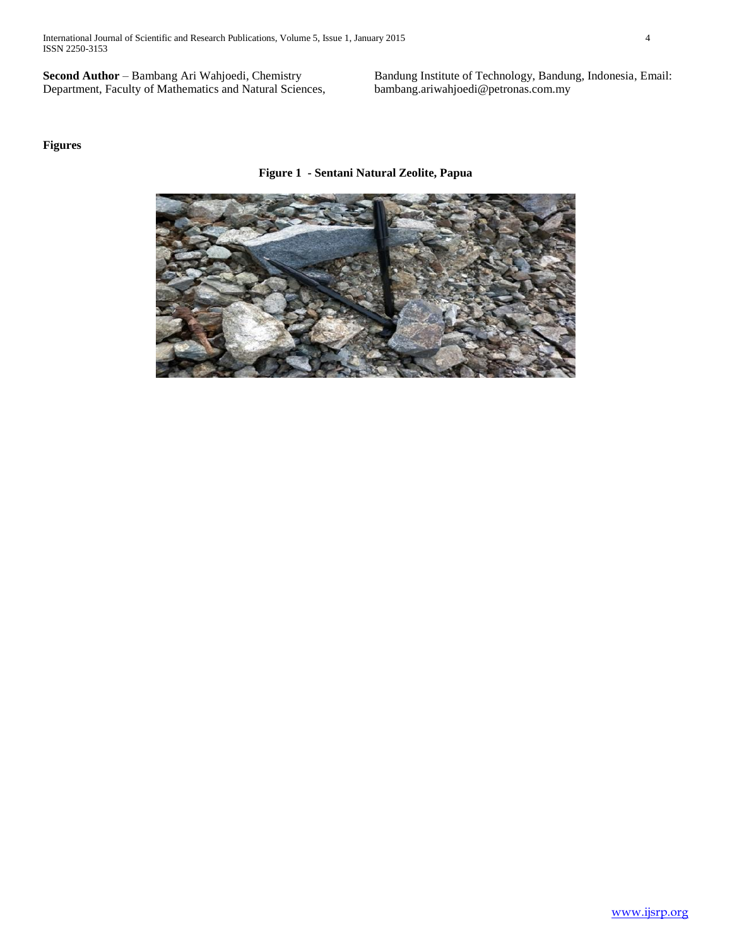International Journal of Scientific and Research Publications, Volume 5, Issue 1, January 2015 4 ISSN 2250-3153

**Second Author** – Bambang Ari Wahjoedi, Chemistry Department, Faculty of Mathematics and Natural Sciences,

Bandung Institute of Technology, Bandung, Indonesia, Email: bambang.ariwahjoedi@petronas.com.my

### **Figures**

**Figure 1 - Sentani Natural Zeolite, Papua**

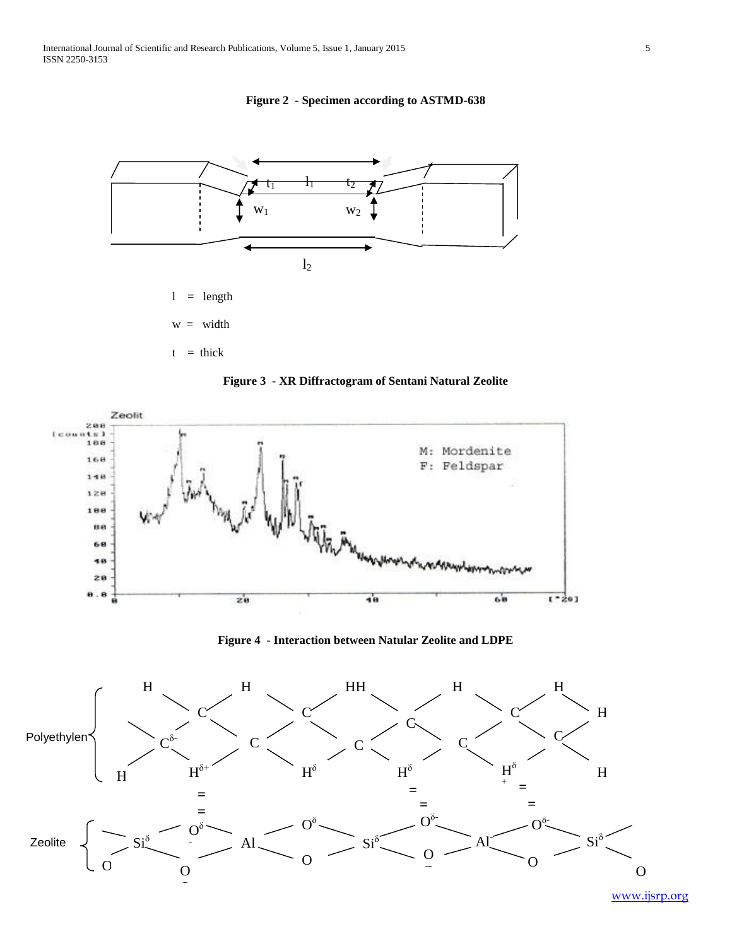**Figure 2 - Specimen according to ASTMD-638**







**Figure 4 - Interaction between Natular Zeolite and LDPE**



www.ijsrp.org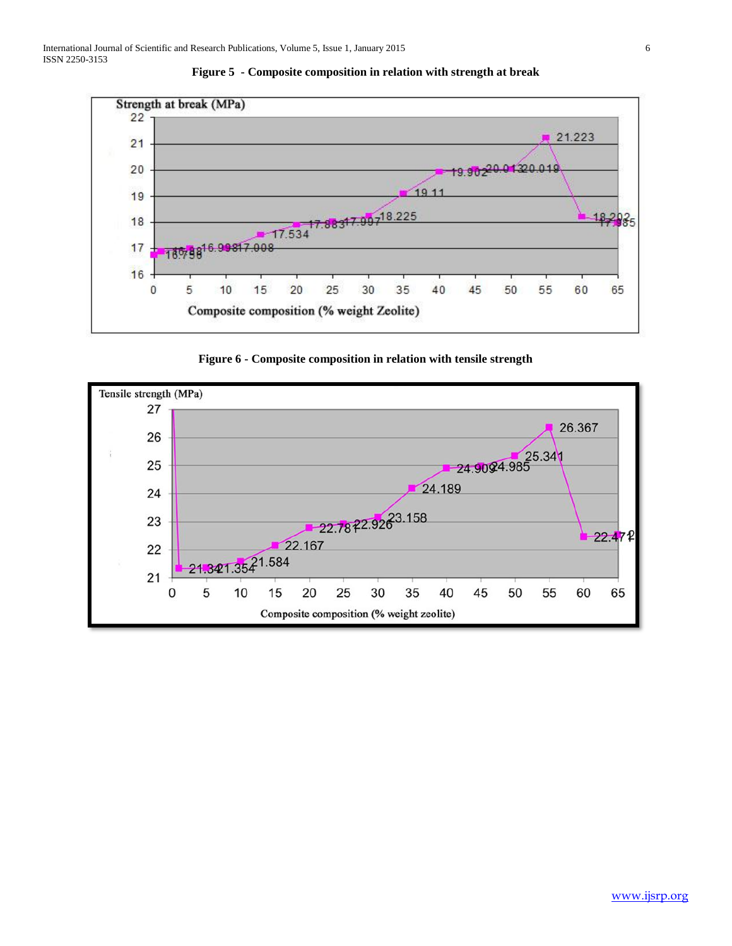



**Figure 6 - Composite composition in relation with tensile strength**

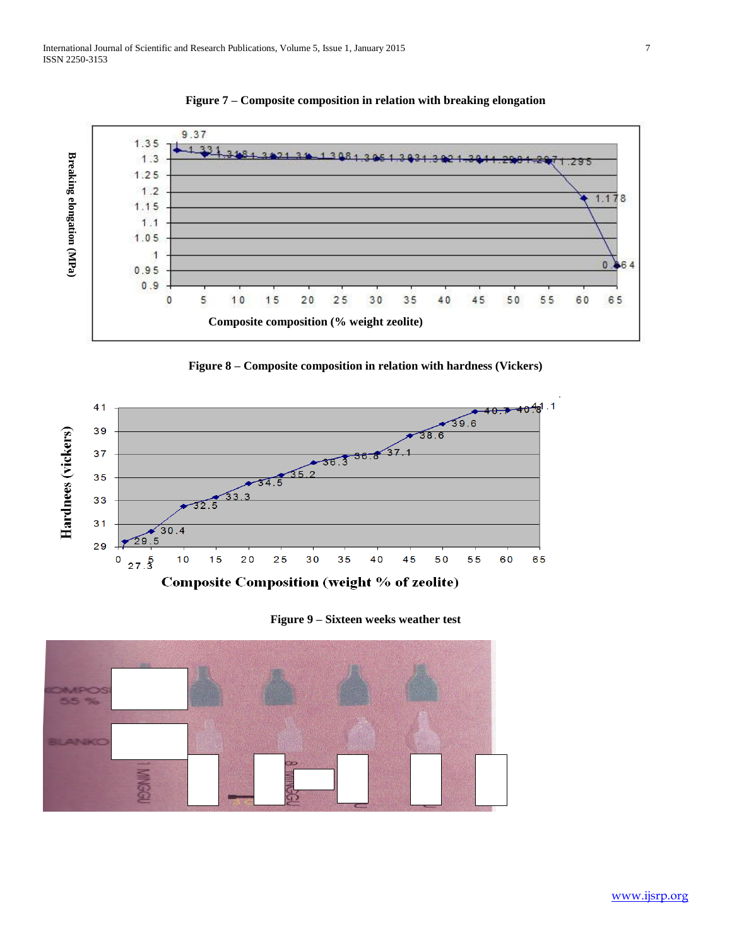

**Figure 7 – Composite composition in relation with breaking elongation**







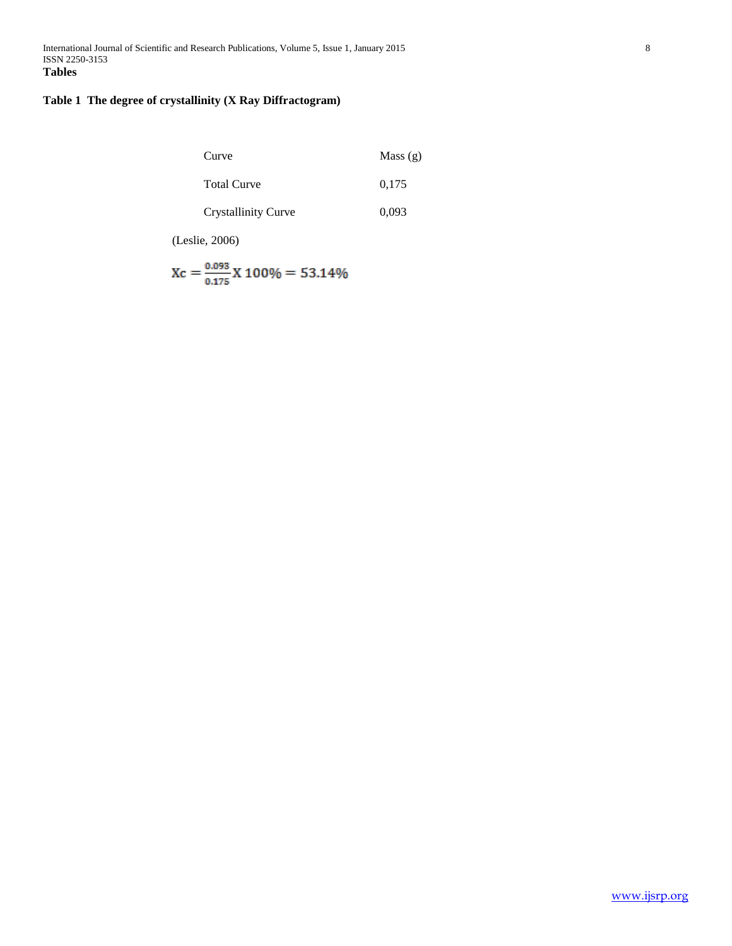# **Table 1 The degree of crystallinity (X Ray Diffractogram)**

| Curve                      | Mass $(g)$ |
|----------------------------|------------|
| <b>Total Curve</b>         | 0.175      |
| <b>Crystallinity Curve</b> | 0.093      |

(Leslie, 2006)

$$
Xc = \frac{0.093}{0.175} X 100\% = 53.14\%
$$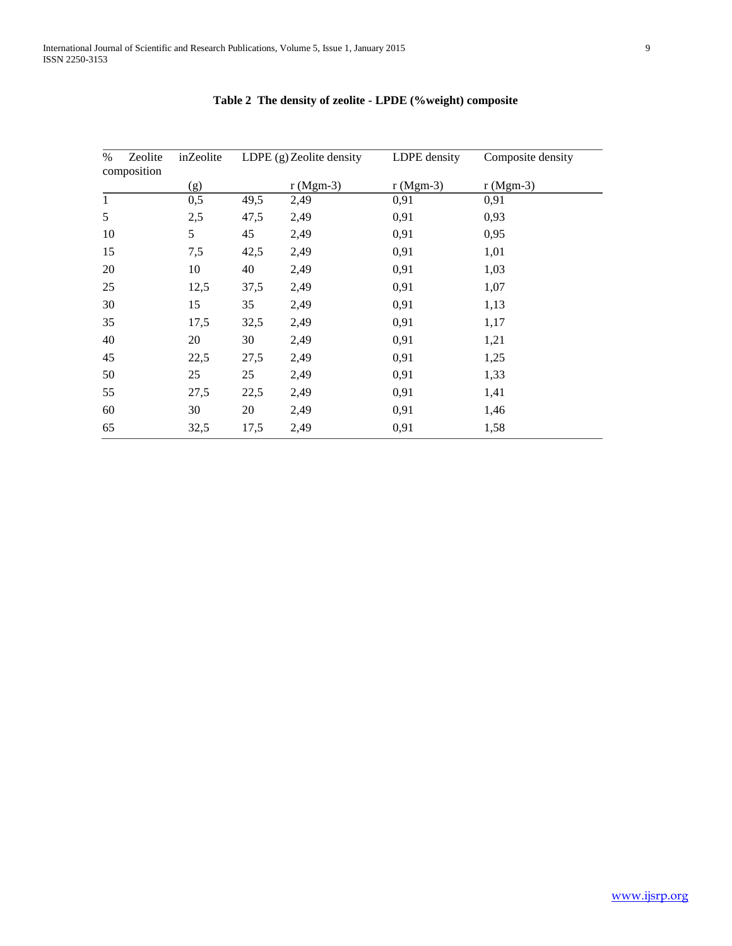| Zeolite<br>$\%$<br>composition | inZeolite | LDPE $(g)$ Zeolite density |            | LDPE density | Composite density |
|--------------------------------|-----------|----------------------------|------------|--------------|-------------------|
|                                | (g)       |                            | $r(Mgm-3)$ | $r(Mgm-3)$   | $r(Mgm-3)$        |
| $\mathbf{1}$                   | 0,5       | 49,5                       | 2,49       | 0,91         | 0,91              |
| 5                              | 2,5       | 47,5                       | 2,49       | 0,91         | 0,93              |
| 10                             | 5         | 45                         | 2,49       | 0,91         | 0,95              |
| 15                             | 7,5       | 42,5                       | 2,49       | 0,91         | 1,01              |
| 20                             | 10        | 40                         | 2,49       | 0,91         | 1,03              |
| 25                             | 12,5      | 37,5                       | 2,49       | 0,91         | 1,07              |
| 30                             | 15        | 35                         | 2,49       | 0,91         | 1,13              |
| 35                             | 17,5      | 32,5                       | 2,49       | 0,91         | 1,17              |
| 40                             | 20        | 30                         | 2,49       | 0,91         | 1,21              |
| 45                             | 22,5      | 27,5                       | 2,49       | 0,91         | 1,25              |
| 50                             | 25        | 25                         | 2,49       | 0,91         | 1,33              |
| 55                             | 27,5      | 22,5                       | 2,49       | 0,91         | 1,41              |
| 60                             | 30        | 20                         | 2,49       | 0,91         | 1,46              |
| 65                             | 32,5      | 17,5                       | 2,49       | 0,91         | 1,58              |

# **Table 2 The density of zeolite - LPDE (%weight) composite**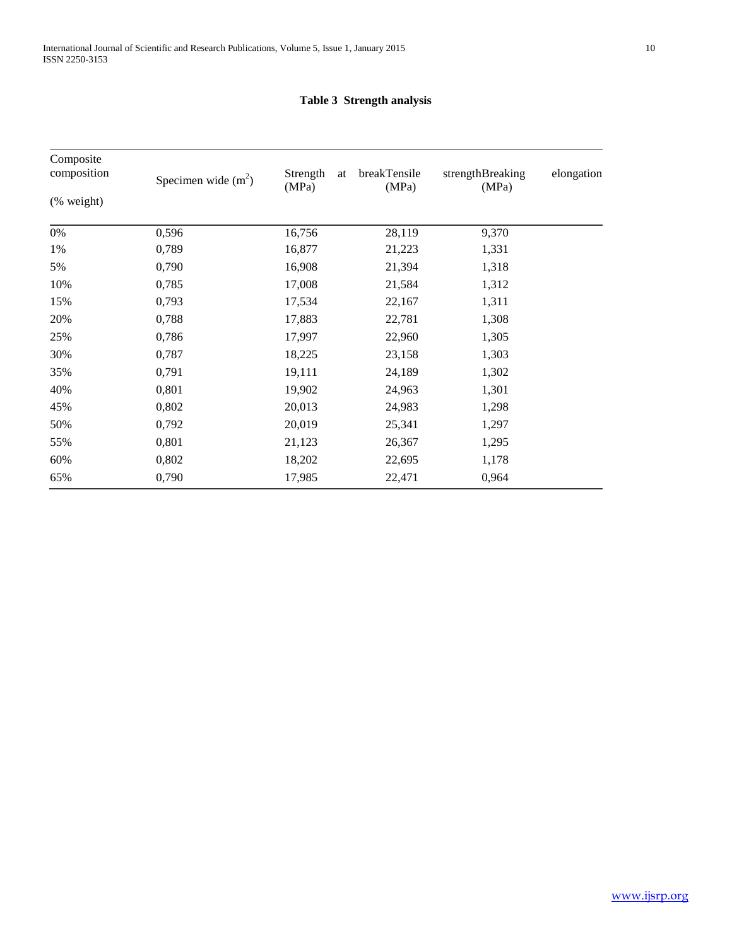# **Table 3 Strength analysis**

| Composite<br>composition | Specimen wide $(m2)$ | Strength<br>(MPa) | breakTensile<br>at<br>(MPa) | strengthBreaking<br>(MPa) | elongation |
|--------------------------|----------------------|-------------------|-----------------------------|---------------------------|------------|
| (% weight)               |                      |                   |                             |                           |            |
| 0%                       | 0,596                | 16,756            | 28,119                      | 9,370                     |            |
| 1%                       | 0,789                | 16,877            | 21,223                      | 1,331                     |            |
| 5%                       | 0,790                | 16,908            | 21,394                      | 1,318                     |            |
| 10%                      | 0,785                | 17,008            | 21,584                      | 1,312                     |            |
| 15%                      | 0,793                | 17,534            | 22,167                      | 1,311                     |            |
| 20%                      | 0,788                | 17,883            | 22,781                      | 1,308                     |            |
| 25%                      | 0,786                | 17,997            | 22,960                      | 1,305                     |            |
| 30%                      | 0,787                | 18,225            | 23,158                      | 1,303                     |            |
| 35%                      | 0,791                | 19,111            | 24,189                      | 1,302                     |            |
| 40%                      | 0,801                | 19,902            | 24,963                      | 1,301                     |            |
| 45%                      | 0,802                | 20,013            | 24,983                      | 1,298                     |            |
| 50%                      | 0,792                | 20,019            | 25,341                      | 1,297                     |            |
| 55%                      | 0,801                | 21,123            | 26,367                      | 1,295                     |            |
| 60%                      | 0,802                | 18,202            | 22,695                      | 1,178                     |            |
| 65%                      | 0,790                | 17,985            | 22,471                      | 0,964                     |            |